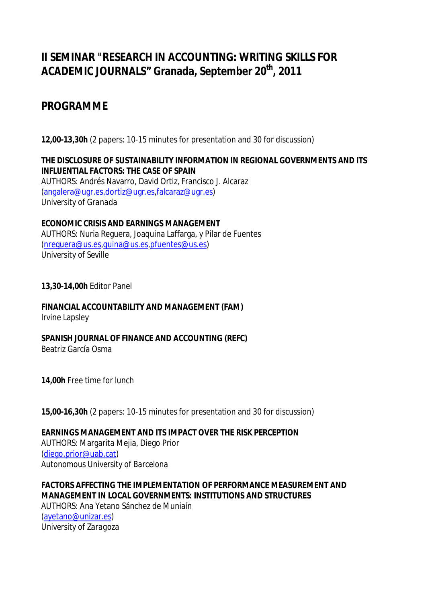## **II SEMINAR "RESEARCH IN ACCOUNTING: WRITING SKILLS FOR ACADEMIC JOURNALS" Granada, September 20th, 2011**

## **PROGRAMME**

**12,00-13,30h** (2 papers: 10-15 minutes for presentation and 30 for discussion)

**THE DISCLOSURE OF SUSTAINABILITY INFORMATION IN REGIONAL GOVERNMENTS AND ITS INFLUENTIAL FACTORS: THE CASE OF SPAIN** AUTHORS: Andrés Navarro, David Ortiz, Francisco J. Alcaraz (angalera@ugr.es,dortiz@ugr.es,falcaraz@ugr.es) *University of Granada*

**ECONOMIC CRISIS AND EARNINGS MANAGEMENT** AUTHORS: Nuria Reguera, Joaquina Laffarga, y Pilar de Fuentes (nreguera@us.es,quina@us.es,pfuentes@us.es) *University of Seville*

**13,30-14,00h** Editor Panel

**FINANCIAL ACCOUNTABILITY AND MANAGEMENT (FAM)** Irvine Lapsley

**SPANISH JOURNAL OF FINANCE AND ACCOUNTING (REFC)**

Beatriz García Osma

**14,00h** Free time for lunch

**15,00-16,30h** (2 papers: 10-15 minutes for presentation and 30 for discussion)

**EARNINGS MANAGEMENT AND ITS IMPACT OVER THE RISK PERCEPTION** AUTHORS: Margarita Mejia, Diego Prior (diego.prior@uab.cat) *Autonomous University of Barcelona*

**FACTORS AFFECTING THE IMPLEMENTATION OF PERFORMANCE MEASUREMENT AND MANAGEMENT IN LOCAL GOVERNMENTS: INSTITUTIONS AND STRUCTURES** AUTHORS: Ana Yetano Sánchez de Muniaín (ayetano@unizar.es) *University of Zaragoza*